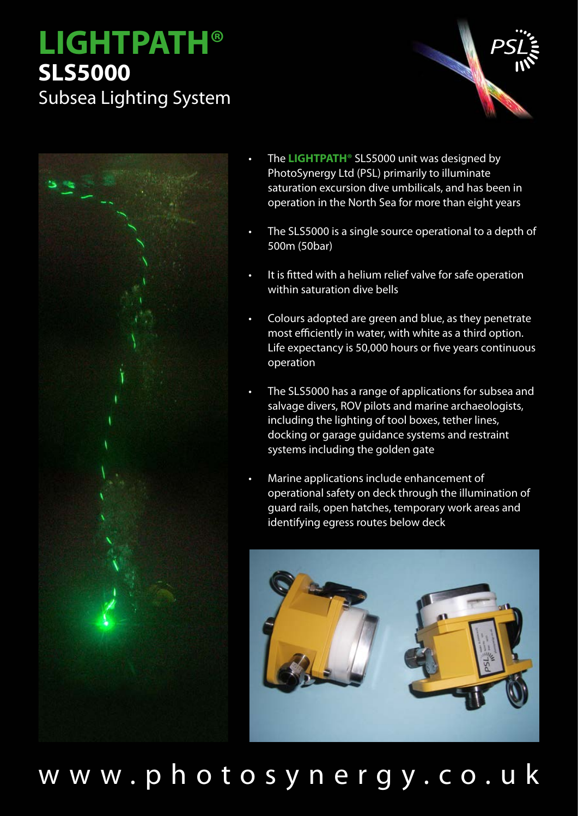## **LIGHTPATH® SLS5000**

Subsea Lighting System





- The **LIGHTPATH®** SLS5000 unit was designed by PhotoSynergy Ltd (PSL) primarily to illuminate saturation excursion dive umbilicals, and has been in operation in the North Sea for more than eight years
- The SLS5000 is a single source operational to a depth of 500m (50bar)
- It is fitted with a helium relief valve for safe operation within saturation dive bells
- Colours adopted are green and blue, as they penetrate most efficiently in water, with white as a third option. Life expectancy is 50,000 hours or five years continuous operation
- The SLS5000 has a range of applications for subsea and salvage divers, ROV pilots and marine archaeologists, including the lighting of tool boxes, tether lines, docking or garage guidance systems and restraint systems including the golden gate
- Marine applications include enhancement of operational safety on deck through the illumination of guard rails, open hatches, temporary work areas and identifying egress routes below deck



www.photosynergy.co.uk